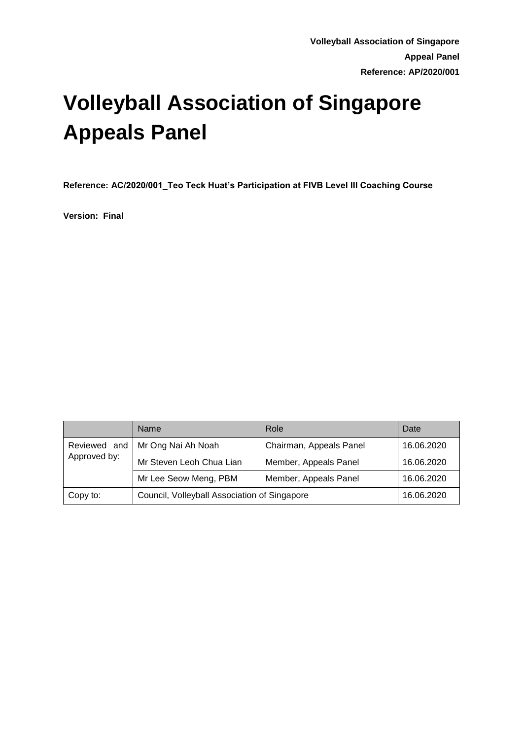# **Volleyball Association of Singapore Appeals Panel**

**Reference: AC/2020/001\_Teo Teck Huat's Participation at FIVB Level III Coaching Course**

**Version: Final**

|              | Name                                         | Role                    | Date       |
|--------------|----------------------------------------------|-------------------------|------------|
| Approved by: | Reviewed and   Mr Ong Nai Ah Noah            | Chairman, Appeals Panel | 16.06.2020 |
|              | Mr Steven Leoh Chua Lian                     | Member, Appeals Panel   | 16.06.2020 |
|              | Mr Lee Seow Meng, PBM                        | Member, Appeals Panel   | 16.06.2020 |
| Copy to:     | Council, Volleyball Association of Singapore |                         | 16.06.2020 |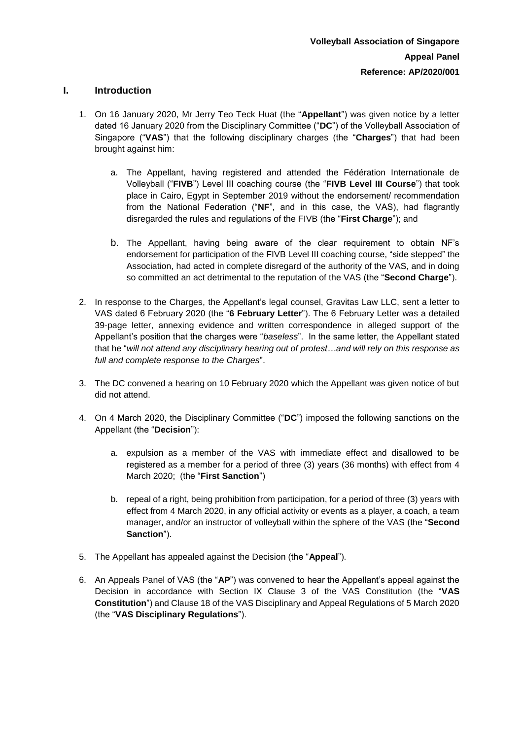#### **I. Introduction**

- 1. On 16 January 2020, Mr Jerry Teo Teck Huat (the "**Appellant**") was given notice by a letter dated 16 January 2020 from the Disciplinary Committee ("**DC**") of the Volleyball Association of Singapore ("**VAS**") that the following disciplinary charges (the "**Charges**") that had been brought against him:
	- a. The Appellant, having registered and attended the Fédération Internationale de Volleyball ("**FIVB**") Level III coaching course (the "**FIVB Level III Course**") that took place in Cairo, Egypt in September 2019 without the endorsement/ recommendation from the National Federation ("**NF**", and in this case, the VAS), had flagrantly disregarded the rules and regulations of the FIVB (the "**First Charge**"); and
	- b. The Appellant, having being aware of the clear requirement to obtain NF's endorsement for participation of the FIVB Level III coaching course, "side stepped" the Association, had acted in complete disregard of the authority of the VAS, and in doing so committed an act detrimental to the reputation of the VAS (the "**Second Charge**").
- 2. In response to the Charges, the Appellant's legal counsel, Gravitas Law LLC, sent a letter to VAS dated 6 February 2020 (the "**6 February Letter**"). The 6 February Letter was a detailed 39-page letter, annexing evidence and written correspondence in alleged support of the Appellant's position that the charges were "*baseless*". In the same letter, the Appellant stated that he "*will not attend any disciplinary hearing out of protest…and will rely on this response as full and complete response to the Charges*".
- 3. The DC convened a hearing on 10 February 2020 which the Appellant was given notice of but did not attend.
- 4. On 4 March 2020, the Disciplinary Committee ("**DC**") imposed the following sanctions on the Appellant (the "**Decision**"):
	- a. expulsion as a member of the VAS with immediate effect and disallowed to be registered as a member for a period of three (3) years (36 months) with effect from 4 March 2020; (the "**First Sanction**")
	- b. repeal of a right, being prohibition from participation, for a period of three (3) years with effect from 4 March 2020, in any official activity or events as a player, a coach, a team manager, and/or an instructor of volleyball within the sphere of the VAS (the "**Second Sanction**").
- 5. The Appellant has appealed against the Decision (the "**Appeal**").
- 6. An Appeals Panel of VAS (the "**AP**") was convened to hear the Appellant's appeal against the Decision in accordance with Section IX Clause 3 of the VAS Constitution (the "**VAS Constitution**") and Clause 18 of the VAS Disciplinary and Appeal Regulations of 5 March 2020 (the "**VAS Disciplinary Regulations**").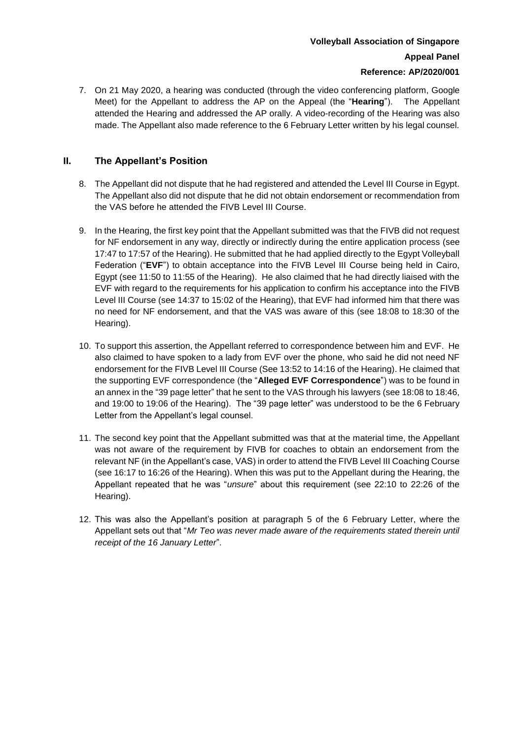# **Volleyball Association of Singapore Appeal Panel Reference: AP/2020/001**

7. On 21 May 2020, a hearing was conducted (through the video conferencing platform, Google Meet) for the Appellant to address the AP on the Appeal (the "**Hearing**"). The Appellant attended the Hearing and addressed the AP orally. A video-recording of the Hearing was also made. The Appellant also made reference to the 6 February Letter written by his legal counsel.

## **II. The Appellant's Position**

- 8. The Appellant did not dispute that he had registered and attended the Level III Course in Egypt. The Appellant also did not dispute that he did not obtain endorsement or recommendation from the VAS before he attended the FIVB Level III Course.
- 9. In the Hearing, the first key point that the Appellant submitted was that the FIVB did not request for NF endorsement in any way, directly or indirectly during the entire application process (see 17:47 to 17:57 of the Hearing). He submitted that he had applied directly to the Egypt Volleyball Federation ("**EVF**") to obtain acceptance into the FIVB Level III Course being held in Cairo, Egypt (see 11:50 to 11:55 of the Hearing). He also claimed that he had directly liaised with the EVF with regard to the requirements for his application to confirm his acceptance into the FIVB Level III Course (see 14:37 to 15:02 of the Hearing), that EVF had informed him that there was no need for NF endorsement, and that the VAS was aware of this (see 18:08 to 18:30 of the Hearing).
- 10. To support this assertion, the Appellant referred to correspondence between him and EVF. He also claimed to have spoken to a lady from EVF over the phone, who said he did not need NF endorsement for the FIVB Level III Course (See 13:52 to 14:16 of the Hearing). He claimed that the supporting EVF correspondence (the "**Alleged EVF Correspondence**") was to be found in an annex in the "39 page letter" that he sent to the VAS through his lawyers (see 18:08 to 18:46, and 19:00 to 19:06 of the Hearing). The "39 page letter" was understood to be the 6 February Letter from the Appellant's legal counsel.
- 11. The second key point that the Appellant submitted was that at the material time, the Appellant was not aware of the requirement by FIVB for coaches to obtain an endorsement from the relevant NF (in the Appellant's case, VAS) in order to attend the FIVB Level III Coaching Course (see 16:17 to 16:26 of the Hearing). When this was put to the Appellant during the Hearing, the Appellant repeated that he was "*unsure*" about this requirement (see 22:10 to 22:26 of the Hearing).
- 12. This was also the Appellant's position at paragraph 5 of the 6 February Letter, where the Appellant sets out that "*Mr Teo was never made aware of the requirements stated therein until receipt of the 16 January Letter*".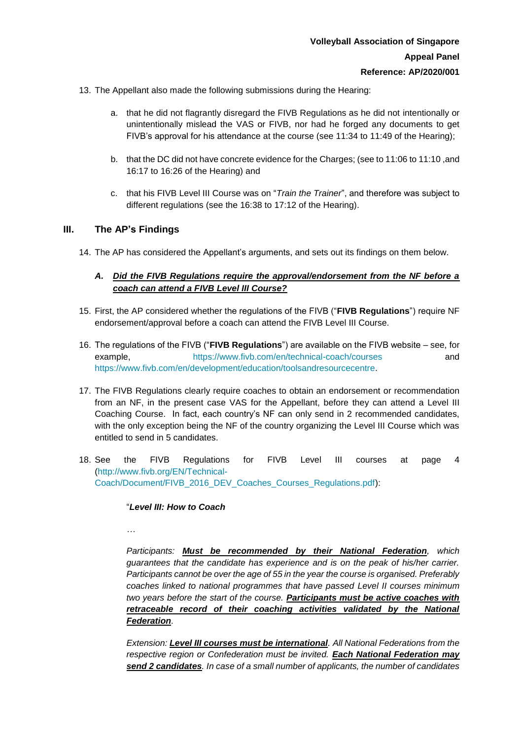- 13. The Appellant also made the following submissions during the Hearing:
	- a. that he did not flagrantly disregard the FIVB Regulations as he did not intentionally or unintentionally mislead the VAS or FIVB, nor had he forged any documents to get FIVB's approval for his attendance at the course (see 11:34 to 11:49 of the Hearing);
	- b. that the DC did not have concrete evidence for the Charges; (see to 11:06 to 11:10 ,and 16:17 to 16:26 of the Hearing) and
	- c. that his FIVB Level III Course was on "*Train the Trainer*", and therefore was subject to different regulations (see the 16:38 to 17:12 of the Hearing).

#### **III. The AP's Findings**

14. The AP has considered the Appellant's arguments, and sets out its findings on them below.

## *A. Did the FIVB Regulations require the approval/endorsement from the NF before a coach can attend a FIVB Level III Course?*

- 15. First, the AP considered whether the regulations of the FIVB ("**FIVB Regulations**") require NF endorsement/approval before a coach can attend the FIVB Level III Course.
- 16. The regulations of the FIVB ("**FIVB Regulations**") are available on the FIVB website see, for example, <https://www.fivb.com/en/technical-coach/courses> and [https://www.fivb.com/en/development/education/toolsandresourcecentre.](https://www.fivb.com/en/development/education/toolsandresourcecentre)
- 17. The FIVB Regulations clearly require coaches to obtain an endorsement or recommendation from an NF, in the present case VAS for the Appellant, before they can attend a Level III Coaching Course. In fact, each country's NF can only send in 2 recommended candidates, with the only exception being the NF of the country organizing the Level III Course which was entitled to send in 5 candidates.
- 18. See the FIVB Regulations for FIVB Level III courses at page 4 [\(http://www.fivb.org/EN/Technical-](http://www.fivb.org/EN/Technical-Coach/Document/FIVB_2016_DEV_Coaches_Courses_Regulations.pdf)[Coach/Document/FIVB\\_2016\\_DEV\\_Coaches\\_Courses\\_Regulations.pdf\)](http://www.fivb.org/EN/Technical-Coach/Document/FIVB_2016_DEV_Coaches_Courses_Regulations.pdf):

"*Level III: How to Coach*

*…*

*Participants: Must be recommended by their National Federation, which guarantees that the candidate has experience and is on the peak of his/her carrier. Participants cannot be over the age of 55 in the year the course is organised. Preferably coaches linked to national programmes that have passed Level II courses minimum two years before the start of the course. Participants must be active coaches with*  retraceable record of their coaching activities validated by the National *Federation.* 

*Extension: Level III courses must be international. All National Federations from the respective region or Confederation must be invited. Each National Federation may send 2 candidates. In case of a small number of applicants, the number of candidates*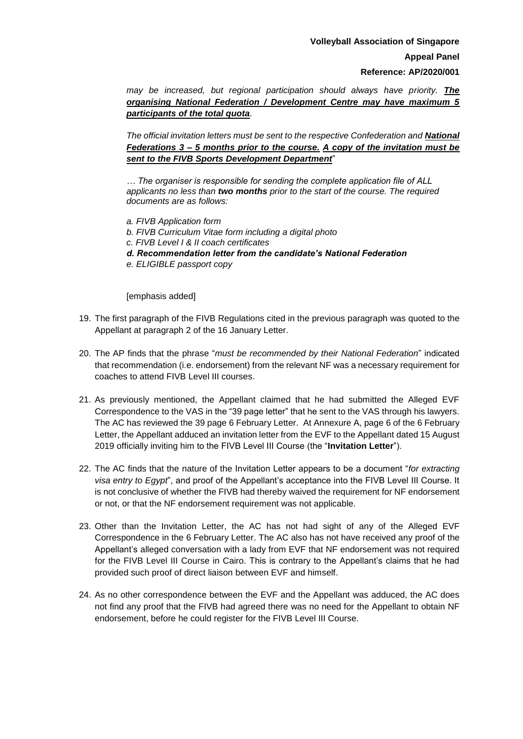*may be increased, but regional participation should always have priority. The organising National Federation / Development Centre may have maximum 5 participants of the total quota.*

*The official invitation letters must be sent to the respective Confederation and National Federations 3 – 5 months prior to the course. A copy of the invitation must be sent to the FIVB Sports Development Department*"

*… The organiser is responsible for sending the complete application file of ALL applicants no less than two months prior to the start of the course. The required documents are as follows:* 

- *a. FIVB Application form*
- *b. FIVB Curriculum Vitae form including a digital photo*
- *c. FIVB Level I & II coach certificates*
- *d. Recommendation letter from the candidate's National Federation*
- *e. ELIGIBLE passport copy*

[emphasis added]

- 19. The first paragraph of the FIVB Regulations cited in the previous paragraph was quoted to the Appellant at paragraph 2 of the 16 January Letter.
- 20. The AP finds that the phrase "*must be recommended by their National Federation*" indicated that recommendation (i.e. endorsement) from the relevant NF was a necessary requirement for coaches to attend FIVB Level III courses.
- 21. As previously mentioned, the Appellant claimed that he had submitted the Alleged EVF Correspondence to the VAS in the "39 page letter" that he sent to the VAS through his lawyers. The AC has reviewed the 39 page 6 February Letter. At Annexure A, page 6 of the 6 February Letter, the Appellant adduced an invitation letter from the EVF to the Appellant dated 15 August 2019 officially inviting him to the FIVB Level III Course (the "**Invitation Letter**").
- 22. The AC finds that the nature of the Invitation Letter appears to be a document "*for extracting visa entry to Egypt*", and proof of the Appellant's acceptance into the FIVB Level III Course. It is not conclusive of whether the FIVB had thereby waived the requirement for NF endorsement or not, or that the NF endorsement requirement was not applicable.
- 23. Other than the Invitation Letter, the AC has not had sight of any of the Alleged EVF Correspondence in the 6 February Letter. The AC also has not have received any proof of the Appellant's alleged conversation with a lady from EVF that NF endorsement was not required for the FIVB Level III Course in Cairo. This is contrary to the Appellant's claims that he had provided such proof of direct liaison between EVF and himself.
- 24. As no other correspondence between the EVF and the Appellant was adduced, the AC does not find any proof that the FIVB had agreed there was no need for the Appellant to obtain NF endorsement, before he could register for the FIVB Level III Course.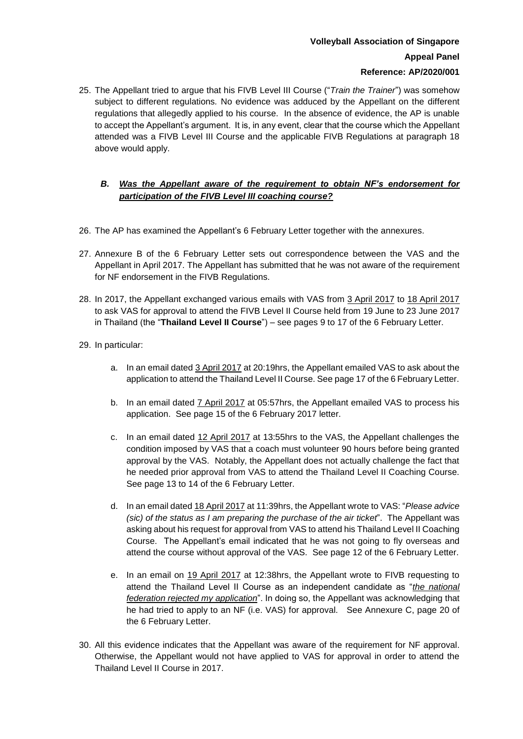# **Volleyball Association of Singapore Appeal Panel Reference: AP/2020/001**

## 25. The Appellant tried to argue that his FIVB Level III Course ("*Train the Trainer*") was somehow subject to different regulations*.* No evidence was adduced by the Appellant on the different regulations that allegedly applied to his course. In the absence of evidence, the AP is unable to accept the Appellant's argument. It is, in any event, clear that the course which the Appellant attended was a FIVB Level III Course and the applicable FIVB Regulations at paragraph 18 above would apply.

## *B. Was the Appellant aware of the requirement to obtain NF's endorsement for participation of the FIVB Level III coaching course?*

- 26. The AP has examined the Appellant's 6 February Letter together with the annexures.
- 27. Annexure B of the 6 February Letter sets out correspondence between the VAS and the Appellant in April 2017. The Appellant has submitted that he was not aware of the requirement for NF endorsement in the FIVB Regulations.
- 28. In 2017, the Appellant exchanged various emails with VAS from 3 April 2017 to 18 April 2017 to ask VAS for approval to attend the FIVB Level II Course held from 19 June to 23 June 2017 in Thailand (the "**Thailand Level II Course**") – see pages 9 to 17 of the 6 February Letter.
- 29. In particular:
	- a. In an email dated 3 April 2017 at 20:19hrs, the Appellant emailed VAS to ask about the application to attend the Thailand Level II Course. See page 17 of the 6 February Letter.
	- b. In an email dated **7 April 2017** at 05:57hrs, the Appellant emailed VAS to process his application. See page 15 of the 6 February 2017 letter.
	- c. In an email dated 12 April 2017 at 13:55hrs to the VAS, the Appellant challenges the condition imposed by VAS that a coach must volunteer 90 hours before being granted approval by the VAS. Notably, the Appellant does not actually challenge the fact that he needed prior approval from VAS to attend the Thailand Level II Coaching Course. See page 13 to 14 of the 6 February Letter.
	- d. In an email dated 18 April 2017 at 11:39hrs, the Appellant wrote to VAS: "*Please advice (sic) of the status as I am preparing the purchase of the air ticket*". The Appellant was asking about his request for approval from VAS to attend his Thailand Level II Coaching Course. The Appellant's email indicated that he was not going to fly overseas and attend the course without approval of the VAS. See page 12 of the 6 February Letter.
	- e. In an email on 19 April 2017 at 12:38hrs, the Appellant wrote to FIVB requesting to attend the Thailand Level II Course as an independent candidate as "*the national federation rejected my application*". In doing so, the Appellant was acknowledging that he had tried to apply to an NF (i.e. VAS) for approval. See Annexure C, page 20 of the 6 February Letter.
- 30. All this evidence indicates that the Appellant was aware of the requirement for NF approval. Otherwise, the Appellant would not have applied to VAS for approval in order to attend the Thailand Level II Course in 2017.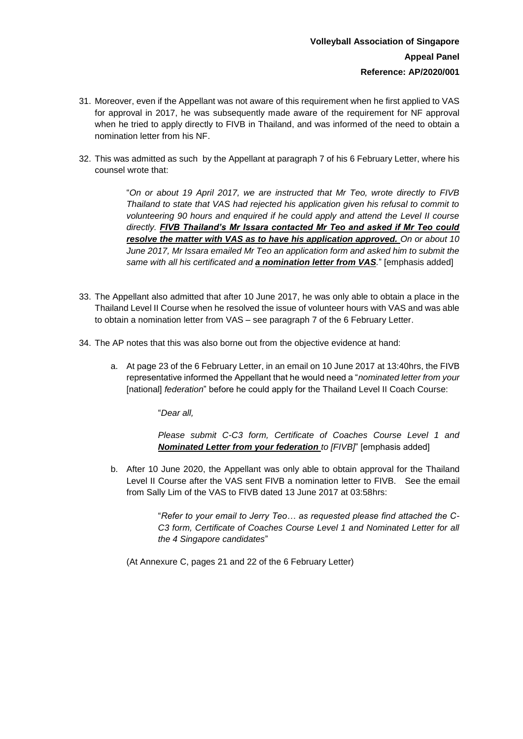- 31. Moreover, even if the Appellant was not aware of this requirement when he first applied to VAS for approval in 2017, he was subsequently made aware of the requirement for NF approval when he tried to apply directly to FIVB in Thailand, and was informed of the need to obtain a nomination letter from his NF.
- 32. This was admitted as such by the Appellant at paragraph 7 of his 6 February Letter, where his counsel wrote that:

"*On or about 19 April 2017, we are instructed that Mr Teo, wrote directly to FIVB Thailand to state that VAS had rejected his application given his refusal to commit to volunteering 90 hours and enquired if he could apply and attend the Level II course directly. FIVB Thailand's Mr Issara contacted Mr Teo and asked if Mr Teo could resolve the matter with VAS as to have his application approved. On or about 10 June 2017, Mr Issara emailed Mr Teo an application form and asked him to submit the same with all his certificated and a nomination letter from VAS.*" [emphasis added]

- 33. The Appellant also admitted that after 10 June 2017, he was only able to obtain a place in the Thailand Level II Course when he resolved the issue of volunteer hours with VAS and was able to obtain a nomination letter from VAS – see paragraph 7 of the 6 February Letter.
- 34. The AP notes that this was also borne out from the objective evidence at hand:
	- a. At page 23 of the 6 February Letter, in an email on 10 June 2017 at 13:40hrs, the FIVB representative informed the Appellant that he would need a "*nominated letter from your*  [national] *federation*" before he could apply for the Thailand Level II Coach Course:

"*Dear all,* 

*Please submit C-C3 form, Certificate of Coaches Course Level 1 and Nominated Letter from your federation to [FIVB]*" [emphasis added]

b. After 10 June 2020, the Appellant was only able to obtain approval for the Thailand Level II Course after the VAS sent FIVB a nomination letter to FIVB. See the email from Sally Lim of the VAS to FIVB dated 13 June 2017 at 03:58hrs:

> "*Refer to your email to Jerry Teo… as requested please find attached the C-C3 form, Certificate of Coaches Course Level 1 and Nominated Letter for all the 4 Singapore candidates*"

(At Annexure C, pages 21 and 22 of the 6 February Letter)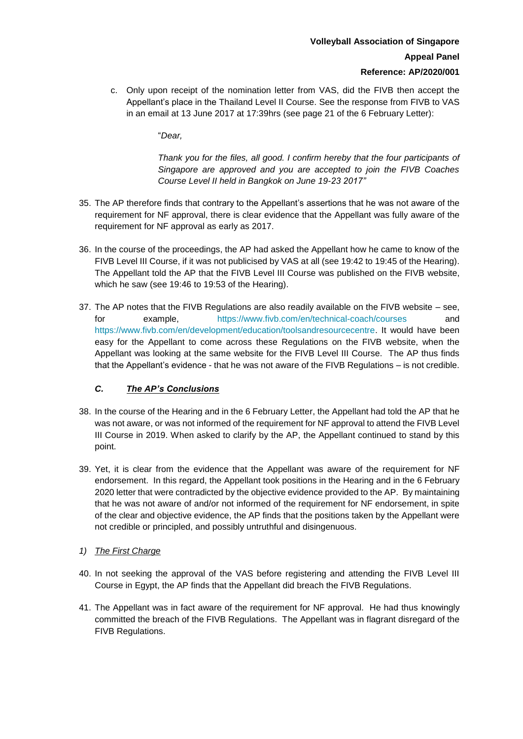c. Only upon receipt of the nomination letter from VAS, did the FIVB then accept the Appellant's place in the Thailand Level II Course. See the response from FIVB to VAS in an email at 13 June 2017 at 17:39hrs (see page 21 of the 6 February Letter):

"*Dear,* 

*Thank you for the files, all good. I confirm hereby that the four participants of Singapore are approved and you are accepted to join the FIVB Coaches Course Level II held in Bangkok on June 19-23 2017"*

- 35. The AP therefore finds that contrary to the Appellant's assertions that he was not aware of the requirement for NF approval, there is clear evidence that the Appellant was fully aware of the requirement for NF approval as early as 2017.
- 36. In the course of the proceedings, the AP had asked the Appellant how he came to know of the FIVB Level III Course, if it was not publicised by VAS at all (see 19:42 to 19:45 of the Hearing). The Appellant told the AP that the FIVB Level III Course was published on the FIVB website, which he saw (see 19:46 to 19:53 of the Hearing).
- 37. The AP notes that the FIVB Regulations are also readily available on the FIVB website see, for example, <https://www.fivb.com/en/technical-coach/courses> and [https://www.fivb.com/en/development/education/toolsandresourcecentre.](https://www.fivb.com/en/development/education/toolsandresourcecentre) It would have been easy for the Appellant to come across these Regulations on the FIVB website, when the Appellant was looking at the same website for the FIVB Level III Course. The AP thus finds that the Appellant's evidence - that he was not aware of the FIVB Regulations – is not credible.

## *C. The AP's Conclusions*

- 38. In the course of the Hearing and in the 6 February Letter, the Appellant had told the AP that he was not aware, or was not informed of the requirement for NF approval to attend the FIVB Level III Course in 2019. When asked to clarify by the AP, the Appellant continued to stand by this point.
- 39. Yet, it is clear from the evidence that the Appellant was aware of the requirement for NF endorsement. In this regard, the Appellant took positions in the Hearing and in the 6 February 2020 letter that were contradicted by the objective evidence provided to the AP. By maintaining that he was not aware of and/or not informed of the requirement for NF endorsement, in spite of the clear and objective evidence, the AP finds that the positions taken by the Appellant were not credible or principled, and possibly untruthful and disingenuous.
- *1) The First Charge*
- 40. In not seeking the approval of the VAS before registering and attending the FIVB Level III Course in Egypt, the AP finds that the Appellant did breach the FIVB Regulations.
- 41. The Appellant was in fact aware of the requirement for NF approval. He had thus knowingly committed the breach of the FIVB Regulations. The Appellant was in flagrant disregard of the FIVB Regulations.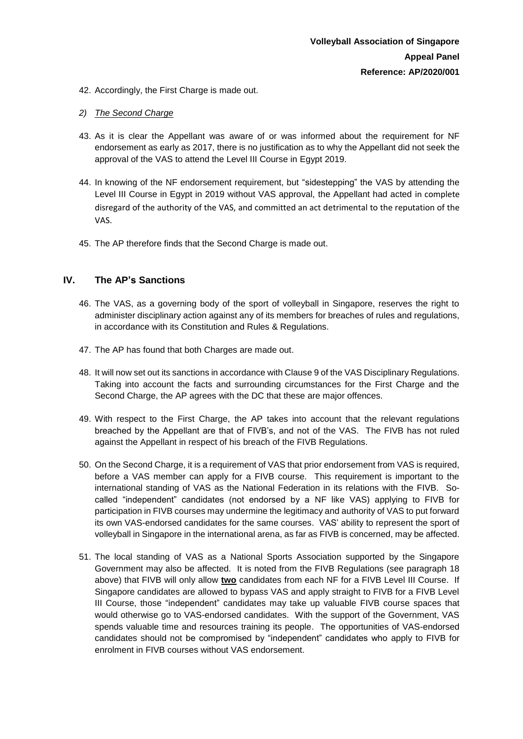- 42. Accordingly, the First Charge is made out.
- *2) The Second Charge*
- 43. As it is clear the Appellant was aware of or was informed about the requirement for NF endorsement as early as 2017, there is no justification as to why the Appellant did not seek the approval of the VAS to attend the Level III Course in Egypt 2019.
- 44. In knowing of the NF endorsement requirement, but "sidestepping" the VAS by attending the Level III Course in Egypt in 2019 without VAS approval, the Appellant had acted in complete disregard of the authority of the VAS, and committed an act detrimental to the reputation of the VAS.
- 45. The AP therefore finds that the Second Charge is made out.

#### **IV. The AP's Sanctions**

- 46. The VAS, as a governing body of the sport of volleyball in Singapore, reserves the right to administer disciplinary action against any of its members for breaches of rules and regulations, in accordance with its Constitution and Rules & Regulations.
- 47. The AP has found that both Charges are made out.
- 48. It will now set out its sanctions in accordance with Clause 9 of the VAS Disciplinary Regulations. Taking into account the facts and surrounding circumstances for the First Charge and the Second Charge, the AP agrees with the DC that these are major offences.
- 49. With respect to the First Charge, the AP takes into account that the relevant regulations breached by the Appellant are that of FIVB's, and not of the VAS. The FIVB has not ruled against the Appellant in respect of his breach of the FIVB Regulations.
- 50. On the Second Charge, it is a requirement of VAS that prior endorsement from VAS is required, before a VAS member can apply for a FIVB course. This requirement is important to the international standing of VAS as the National Federation in its relations with the FIVB. Socalled "independent" candidates (not endorsed by a NF like VAS) applying to FIVB for participation in FIVB courses may undermine the legitimacy and authority of VAS to put forward its own VAS-endorsed candidates for the same courses. VAS' ability to represent the sport of volleyball in Singapore in the international arena, as far as FIVB is concerned, may be affected.
- 51. The local standing of VAS as a National Sports Association supported by the Singapore Government may also be affected. It is noted from the FIVB Regulations (see paragraph 18 above) that FIVB will only allow **two** candidates from each NF for a FIVB Level III Course. If Singapore candidates are allowed to bypass VAS and apply straight to FIVB for a FIVB Level III Course, those "independent" candidates may take up valuable FIVB course spaces that would otherwise go to VAS-endorsed candidates. With the support of the Government, VAS spends valuable time and resources training its people. The opportunities of VAS-endorsed candidates should not be compromised by "independent" candidates who apply to FIVB for enrolment in FIVB courses without VAS endorsement.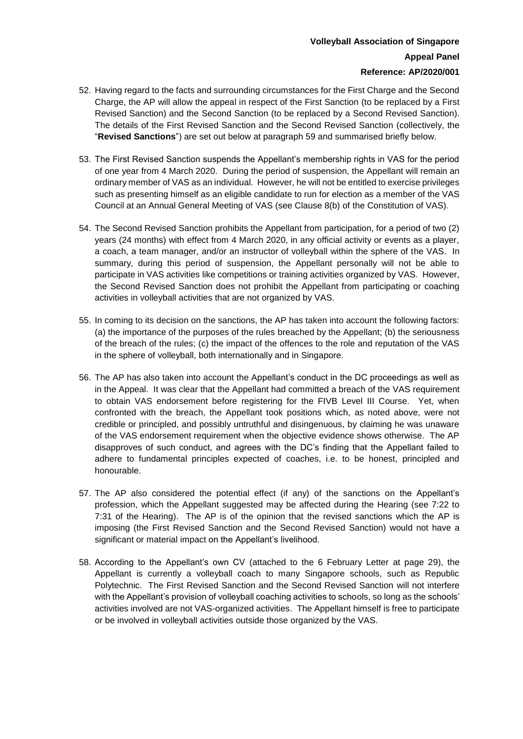# **Volleyball Association of Singapore Appeal Panel Reference: AP/2020/001**

- 52. Having regard to the facts and surrounding circumstances for the First Charge and the Second Charge, the AP will allow the appeal in respect of the First Sanction (to be replaced by a First Revised Sanction) and the Second Sanction (to be replaced by a Second Revised Sanction). The details of the First Revised Sanction and the Second Revised Sanction (collectively, the "**Revised Sanctions**") are set out below at paragraph 59 and summarised briefly below.
- 53. The First Revised Sanction suspends the Appellant's membership rights in VAS for the period of one year from 4 March 2020. During the period of suspension, the Appellant will remain an ordinary member of VAS as an individual. However, he will not be entitled to exercise privileges such as presenting himself as an eligible candidate to run for election as a member of the VAS Council at an Annual General Meeting of VAS (see Clause 8(b) of the Constitution of VAS).
- 54. The Second Revised Sanction prohibits the Appellant from participation, for a period of two (2) years (24 months) with effect from 4 March 2020, in any official activity or events as a player, a coach, a team manager, and/or an instructor of volleyball within the sphere of the VAS. In summary, during this period of suspension, the Appellant personally will not be able to participate in VAS activities like competitions or training activities organized by VAS. However, the Second Revised Sanction does not prohibit the Appellant from participating or coaching activities in volleyball activities that are not organized by VAS.
- 55. In coming to its decision on the sanctions, the AP has taken into account the following factors: (a) the importance of the purposes of the rules breached by the Appellant; (b) the seriousness of the breach of the rules; (c) the impact of the offences to the role and reputation of the VAS in the sphere of volleyball, both internationally and in Singapore.
- 56. The AP has also taken into account the Appellant's conduct in the DC proceedings as well as in the Appeal. It was clear that the Appellant had committed a breach of the VAS requirement to obtain VAS endorsement before registering for the FIVB Level III Course. Yet, when confronted with the breach, the Appellant took positions which, as noted above, were not credible or principled, and possibly untruthful and disingenuous, by claiming he was unaware of the VAS endorsement requirement when the objective evidence shows otherwise. The AP disapproves of such conduct, and agrees with the DC's finding that the Appellant failed to adhere to fundamental principles expected of coaches, i.e. to be honest, principled and honourable.
- 57. The AP also considered the potential effect (if any) of the sanctions on the Appellant's profession, which the Appellant suggested may be affected during the Hearing (see 7:22 to 7:31 of the Hearing). The AP is of the opinion that the revised sanctions which the AP is imposing (the First Revised Sanction and the Second Revised Sanction) would not have a significant or material impact on the Appellant's livelihood.
- 58. According to the Appellant's own CV (attached to the 6 February Letter at page 29), the Appellant is currently a volleyball coach to many Singapore schools, such as Republic Polytechnic. The First Revised Sanction and the Second Revised Sanction will not interfere with the Appellant's provision of volleyball coaching activities to schools, so long as the schools' activities involved are not VAS-organized activities. The Appellant himself is free to participate or be involved in volleyball activities outside those organized by the VAS.